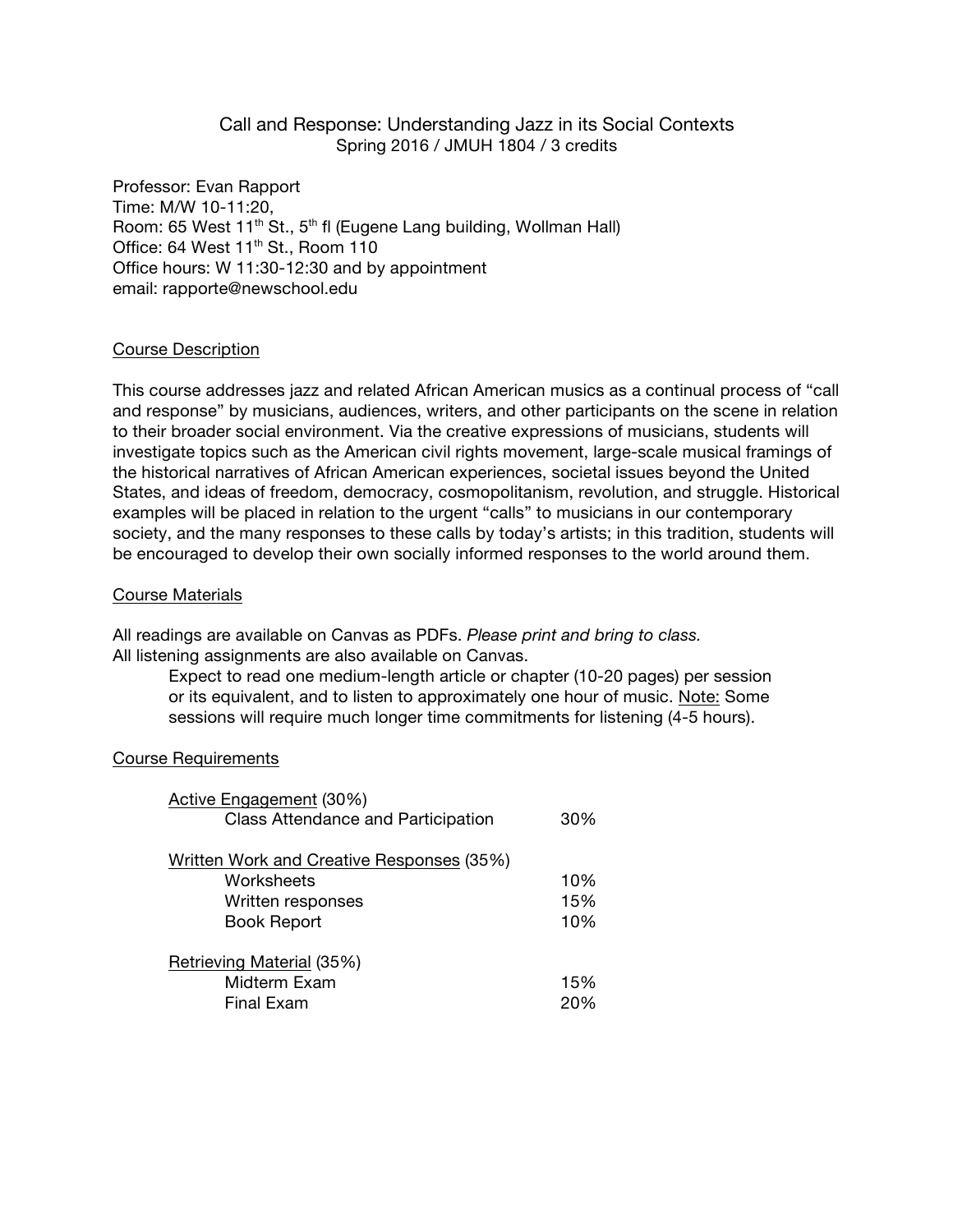# Call and Response: Understanding Jazz in its Social Contexts Spring 2016 / JMUH 1804 / 3 credits

Professor: Evan Rapport Time: M/W 10-11:20, Room: 65 West 11<sup>th</sup> St., 5<sup>th</sup> fl (Eugene Lang building, Wollman Hall) Office: 64 West  $11^{th}$  St., Room 110 Office hours: W 11:30-12:30 and by appointment email: rapporte@newschool.edu

#### Course Description

This course addresses jazz and related African American musics as a continual process of "call and response" by musicians, audiences, writers, and other participants on the scene in relation to their broader social environment. Via the creative expressions of musicians, students will investigate topics such as the American civil rights movement, large-scale musical framings of the historical narratives of African American experiences, societal issues beyond the United States, and ideas of freedom, democracy, cosmopolitanism, revolution, and struggle. Historical examples will be placed in relation to the urgent "calls" to musicians in our contemporary society, and the many responses to these calls by today's artists; in this tradition, students will be encouraged to develop their own socially informed responses to the world around them.

#### Course Materials

All readings are available on Canvas as PDFs. *Please print and bring to class.* All listening assignments are also available on Canvas.

Expect to read one medium-length article or chapter (10-20 pages) per session or its equivalent, and to listen to approximately one hour of music. Note: Some sessions will require much longer time commitments for listening (4-5 hours).

#### Course Requirements

| Active Engagement (30%)<br><b>Class Attendance and Participation</b> | 30% |
|----------------------------------------------------------------------|-----|
| Written Work and Creative Responses (35%)                            |     |
| Worksheets                                                           | 10% |
| Written responses                                                    | 15% |
| <b>Book Report</b>                                                   | 10% |
| Retrieving Material (35%)                                            |     |
| Midterm Exam                                                         | 15% |
| Final Exam                                                           |     |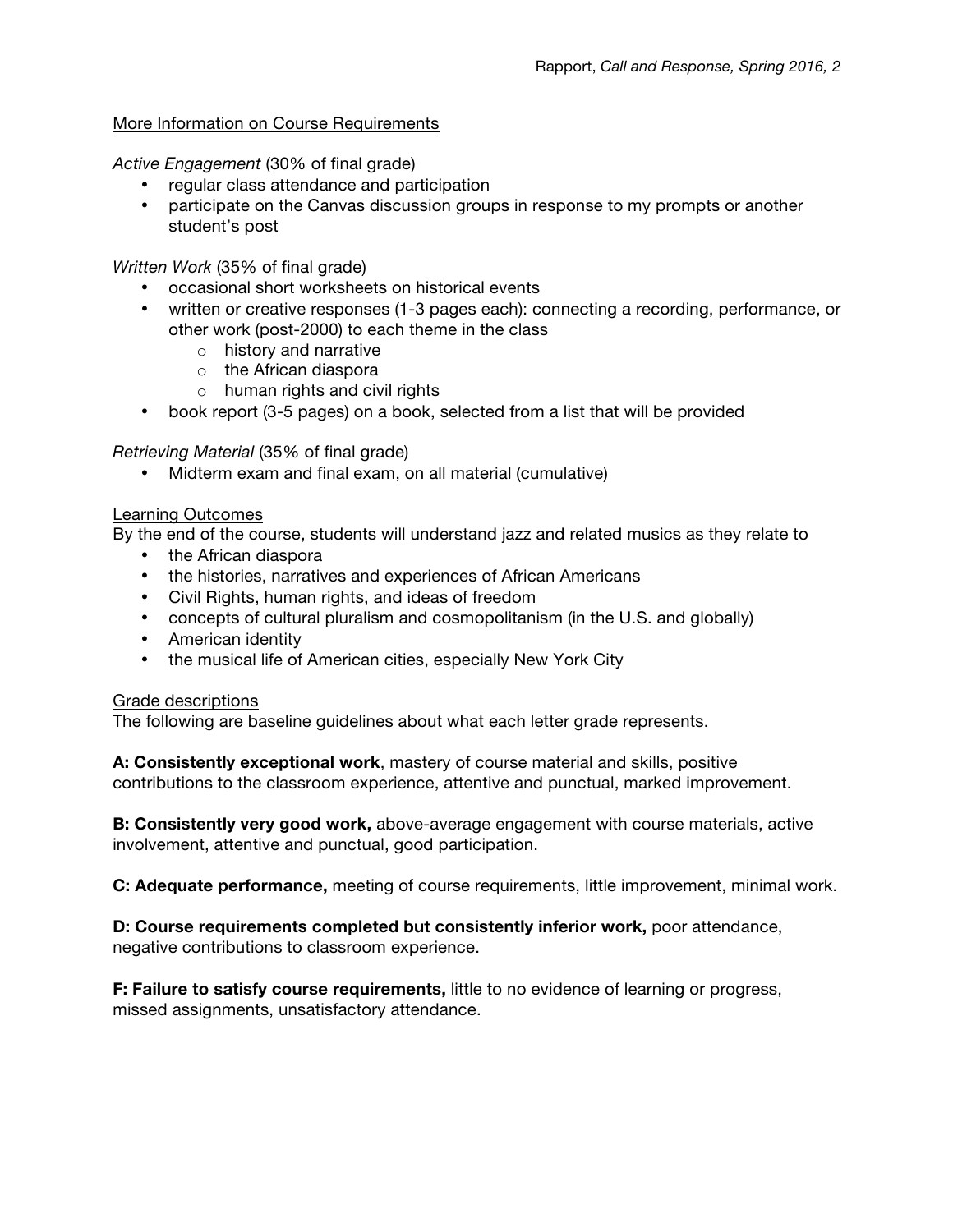#### More Information on Course Requirements

*Active Engagement* (30% of final grade)

- regular class attendance and participation
- participate on the Canvas discussion groups in response to my prompts or another student's post

*Written Work* (35% of final grade)

- occasional short worksheets on historical events
- written or creative responses (1-3 pages each): connecting a recording, performance, or other work (post-2000) to each theme in the class
	- o history and narrative
	- o the African diaspora
	- $\circ$  human rights and civil rights
- book report (3-5 pages) on a book, selected from a list that will be provided

*Retrieving Material* (35% of final grade)

• Midterm exam and final exam, on all material (cumulative)

#### Learning Outcomes

By the end of the course, students will understand jazz and related musics as they relate to

- the African diaspora
- the histories, narratives and experiences of African Americans
- Civil Rights, human rights, and ideas of freedom
- concepts of cultural pluralism and cosmopolitanism (in the U.S. and globally)
- American identity
- the musical life of American cities, especially New York City

#### Grade descriptions

The following are baseline guidelines about what each letter grade represents.

**A: Consistently exceptional work**, mastery of course material and skills, positive contributions to the classroom experience, attentive and punctual, marked improvement.

**B: Consistently very good work,** above-average engagement with course materials, active involvement, attentive and punctual, good participation.

**C: Adequate performance,** meeting of course requirements, little improvement, minimal work.

**D: Course requirements completed but consistently inferior work,** poor attendance, negative contributions to classroom experience.

**F: Failure to satisfy course requirements,** little to no evidence of learning or progress, missed assignments, unsatisfactory attendance.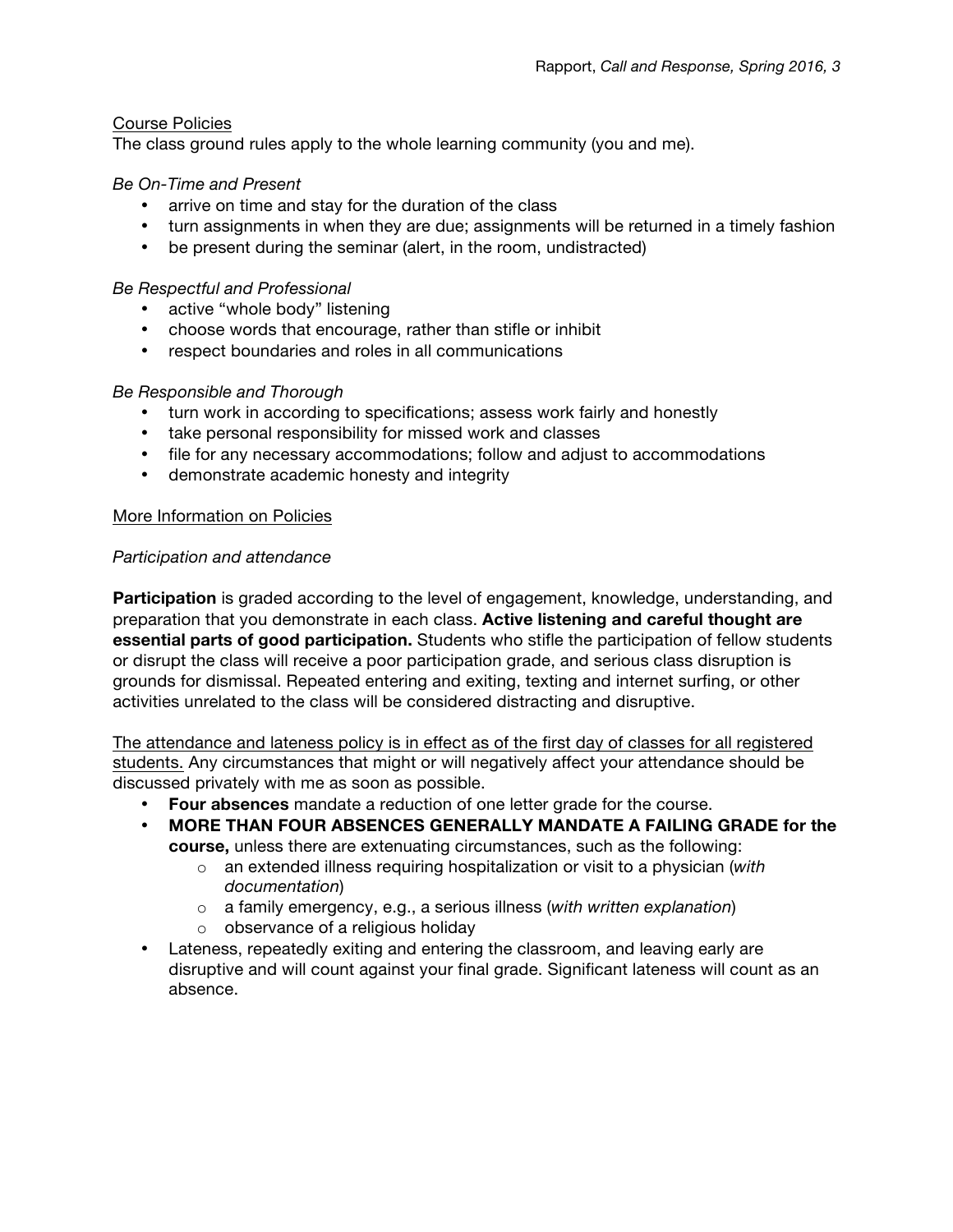# Course Policies

The class ground rules apply to the whole learning community (you and me).

# *Be On-Time and Present*

- arrive on time and stay for the duration of the class
- turn assignments in when they are due; assignments will be returned in a timely fashion
- be present during the seminar (alert, in the room, undistracted)

# *Be Respectful and Professional*

- active "whole body" listening
- choose words that encourage, rather than stifle or inhibit
- respect boundaries and roles in all communications

# *Be Responsible and Thorough*

- turn work in according to specifications; assess work fairly and honestly
- take personal responsibility for missed work and classes
- file for any necessary accommodations; follow and adjust to accommodations
- demonstrate academic honesty and integrity

# More Information on Policies

# *Participation and attendance*

**Participation** is graded according to the level of engagement, knowledge, understanding, and preparation that you demonstrate in each class. **Active listening and careful thought are essential parts of good participation.** Students who stifle the participation of fellow students or disrupt the class will receive a poor participation grade, and serious class disruption is grounds for dismissal. Repeated entering and exiting, texting and internet surfing, or other activities unrelated to the class will be considered distracting and disruptive.

The attendance and lateness policy is in effect as of the first day of classes for all registered students. Any circumstances that might or will negatively affect your attendance should be discussed privately with me as soon as possible.

- **Four absences** mandate a reduction of one letter grade for the course.
- **MORE THAN FOUR ABSENCES GENERALLY MANDATE A FAILING GRADE for the course,** unless there are extenuating circumstances, such as the following:
	- o an extended illness requiring hospitalization or visit to a physician (*with documentation*)
	- o a family emergency, e.g., a serious illness (*with written explanation*)
	- o observance of a religious holiday
- Lateness, repeatedly exiting and entering the classroom, and leaving early are disruptive and will count against your final grade. Significant lateness will count as an absence.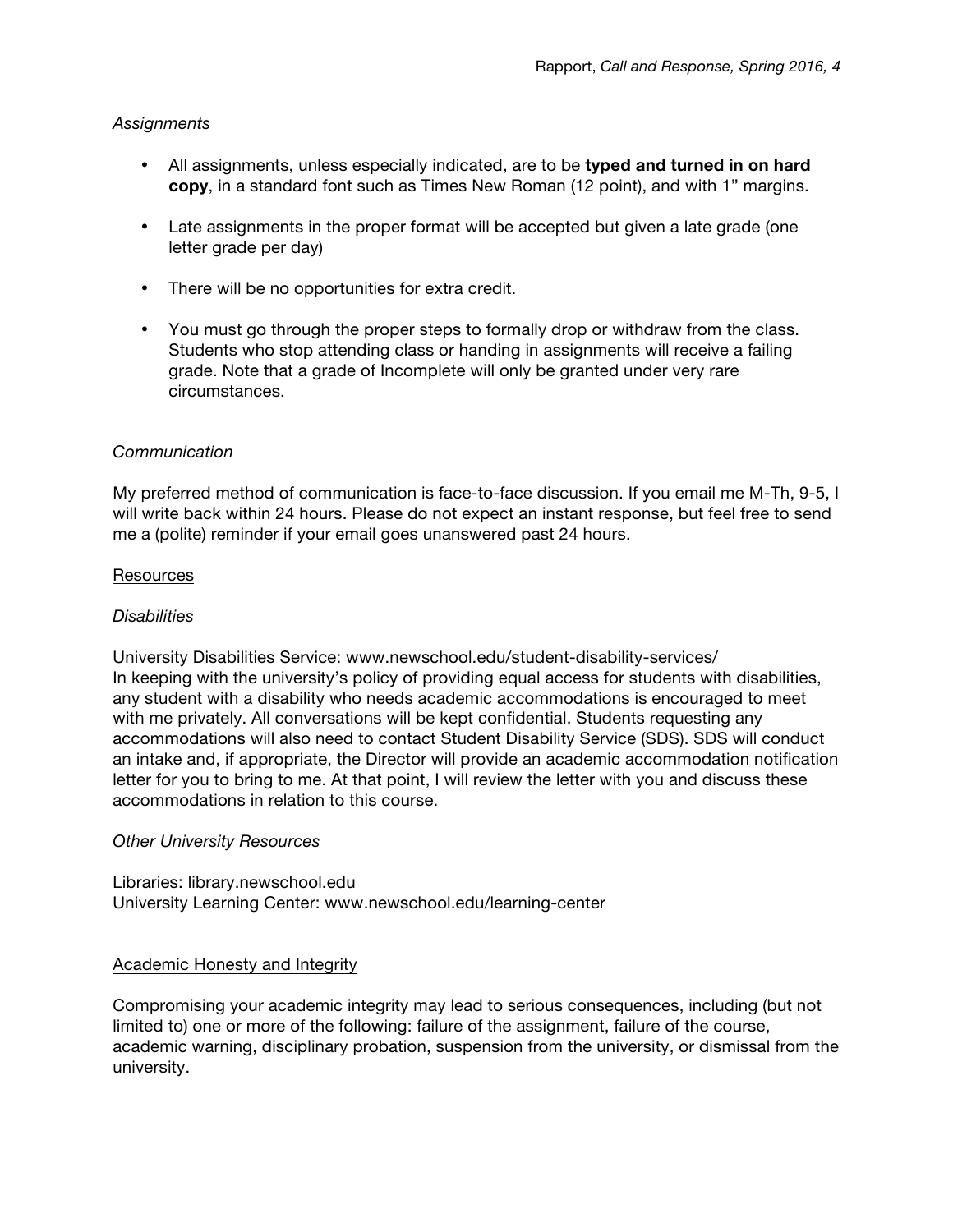# *Assignments*

- All assignments, unless especially indicated, are to be **typed and turned in on hard copy**, in a standard font such as Times New Roman (12 point), and with 1" margins.
- Late assignments in the proper format will be accepted but given a late grade (one letter grade per day)
- There will be no opportunities for extra credit.
- You must go through the proper steps to formally drop or withdraw from the class. Students who stop attending class or handing in assignments will receive a failing grade. Note that a grade of Incomplete will only be granted under very rare circumstances.

# *Communication*

My preferred method of communication is face-to-face discussion. If you email me M-Th, 9-5, I will write back within 24 hours. Please do not expect an instant response, but feel free to send me a (polite) reminder if your email goes unanswered past 24 hours.

#### **Resources**

#### *Disabilities*

University Disabilities Service: www.newschool.edu/student-disability-services/ In keeping with the university's policy of providing equal access for students with disabilities, any student with a disability who needs academic accommodations is encouraged to meet with me privately. All conversations will be kept confidential. Students requesting any accommodations will also need to contact Student Disability Service (SDS). SDS will conduct an intake and, if appropriate, the Director will provide an academic accommodation notification letter for you to bring to me. At that point, I will review the letter with you and discuss these accommodations in relation to this course.

# *Other University Resources*

# Libraries: library.newschool.edu University Learning Center: www.newschool.edu/learning-center

# Academic Honesty and Integrity

Compromising your academic integrity may lead to serious consequences, including (but not limited to) one or more of the following: failure of the assignment, failure of the course, academic warning, disciplinary probation, suspension from the university, or dismissal from the university.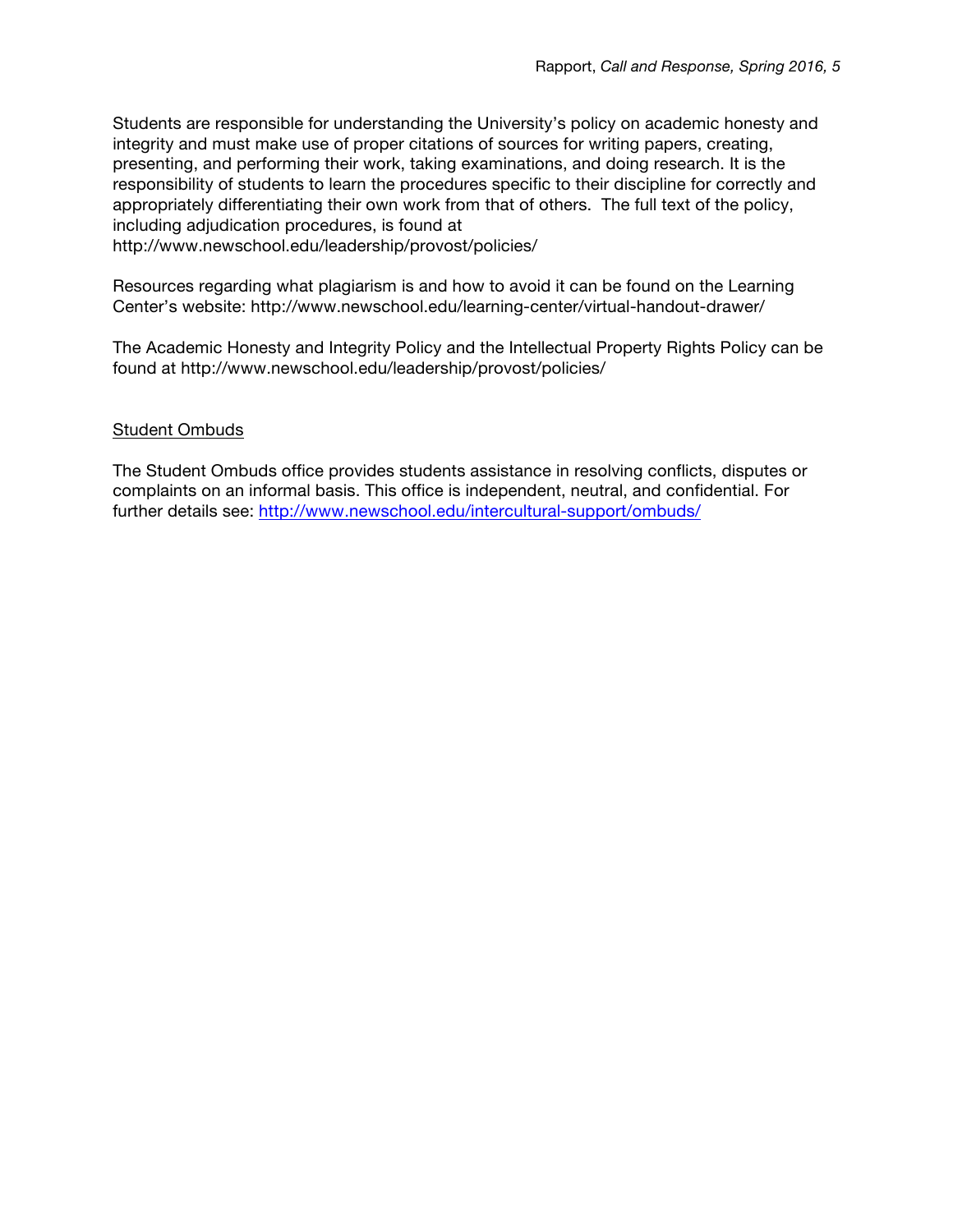Students are responsible for understanding the University's policy on academic honesty and integrity and must make use of proper citations of sources for writing papers, creating, presenting, and performing their work, taking examinations, and doing research. It is the responsibility of students to learn the procedures specific to their discipline for correctly and appropriately differentiating their own work from that of others. The full text of the policy, including adjudication procedures, is found at

http://www.newschool.edu/leadership/provost/policies/

Resources regarding what plagiarism is and how to avoid it can be found on the Learning Center's website: http://www.newschool.edu/learning-center/virtual-handout-drawer/

The Academic Honesty and Integrity Policy and the Intellectual Property Rights Policy can be found at http://www.newschool.edu/leadership/provost/policies/

# Student Ombuds

The Student Ombuds office provides students assistance in resolving conflicts, disputes or complaints on an informal basis. This office is independent, neutral, and confidential. For further details see:<http://www.newschool.edu/intercultural-support/ombuds/>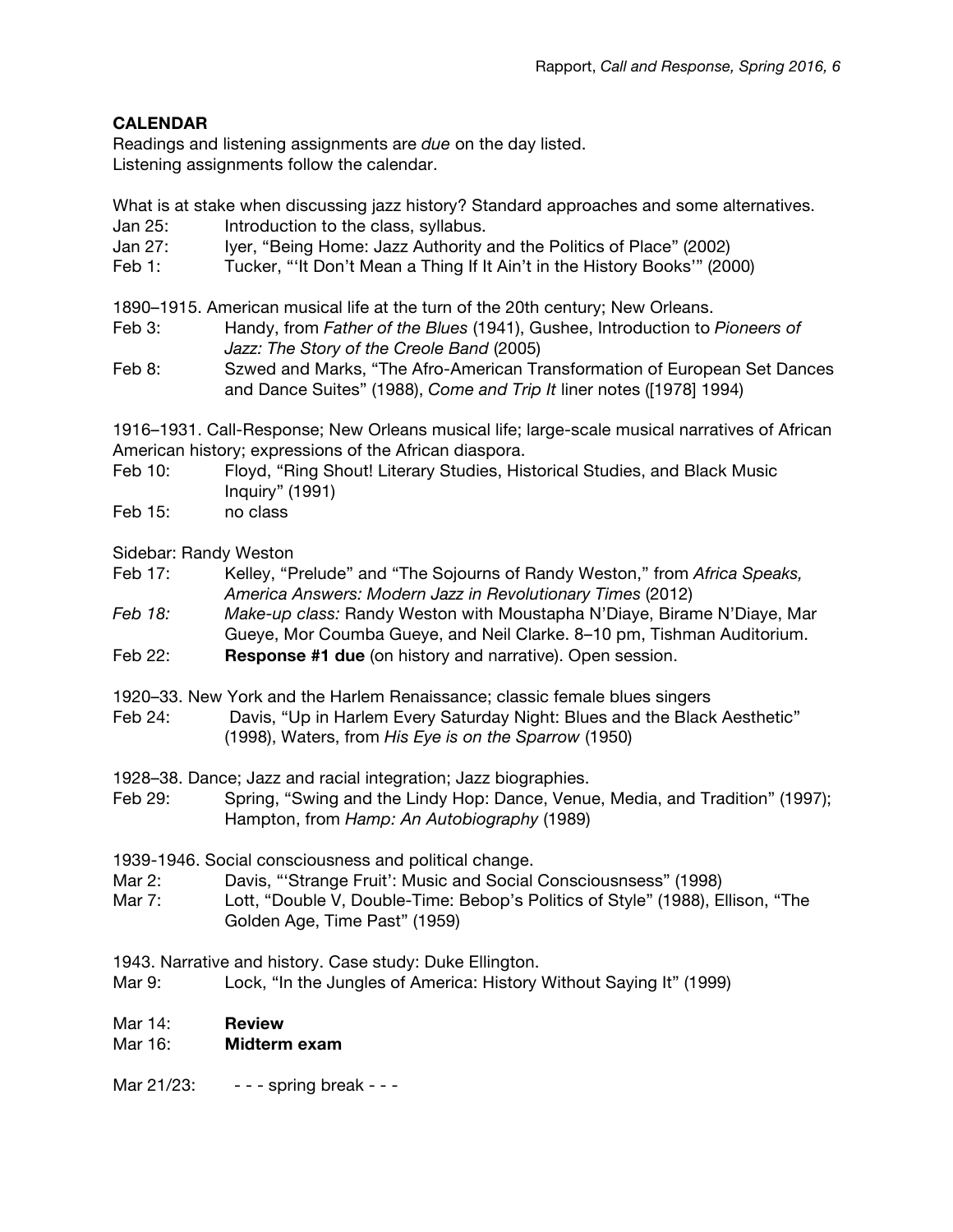# **CALENDAR**

Readings and listening assignments are *due* on the day listed. Listening assignments follow the calendar.

What is at stake when discussing jazz history? Standard approaches and some alternatives.

- Jan 25: Introduction to the class, syllabus.
- Jan 27: Iyer, "Being Home: Jazz Authority and the Politics of Place" (2002)
- Feb 1: Tucker, "'It Don't Mean a Thing If It Ain't in the History Books'" (2000)

1890–1915. American musical life at the turn of the 20th century; New Orleans.

- Feb 3: Handy, from *Father of the Blues* (1941), Gushee, Introduction to *Pioneers of Jazz: The Story of the Creole Band* (2005)
- Feb 8: Szwed and Marks, "The Afro-American Transformation of European Set Dances and Dance Suites" (1988), *Come and Trip It* liner notes ([1978] 1994)

1916–1931. Call-Response; New Orleans musical life; large-scale musical narratives of African American history; expressions of the African diaspora.

- Feb 10: Floyd, "Ring Shout! Literary Studies, Historical Studies, and Black Music Inquiry" (1991)
- Feb 15: no class

Sidebar: Randy Weston

- Feb 17: Kelley, "Prelude" and "The Sojourns of Randy Weston," from *Africa Speaks, America Answers: Modern Jazz in Revolutionary Times* (2012)
- *Feb 18: Make-up class:* Randy Weston with Moustapha N'Diaye, Birame N'Diaye, Mar Gueye, Mor Coumba Gueye, and Neil Clarke. 8–10 pm, Tishman Auditorium.
- Feb 22: **Response #1 due** (on history and narrative). Open session.
- 1920–33. New York and the Harlem Renaissance; classic female blues singers
- Feb 24: Davis, "Up in Harlem Every Saturday Night: Blues and the Black Aesthetic" (1998), Waters, from *His Eye is on the Sparrow* (1950)
- 1928–38. Dance; Jazz and racial integration; Jazz biographies.
- Feb 29: Spring, "Swing and the Lindy Hop: Dance, Venue, Media, and Tradition" (1997); Hampton, from *Hamp: An Autobiography* (1989)

1939-1946. Social consciousness and political change.

- Mar 2: Davis, "'Strange Fruit': Music and Social Consciousnsess" (1998)
- Mar 7: Lott, "Double V, Double-Time: Bebop's Politics of Style" (1988), Ellison, "The Golden Age, Time Past" (1959)

1943. Narrative and history. Case study: Duke Ellington.

Mar 9: Lock, "In the Jungles of America: History Without Saying It" (1999)

# Mar 14: **Review**

# Mar 16: **Midterm exam**

Mar 21/23: - - - - spring break - - -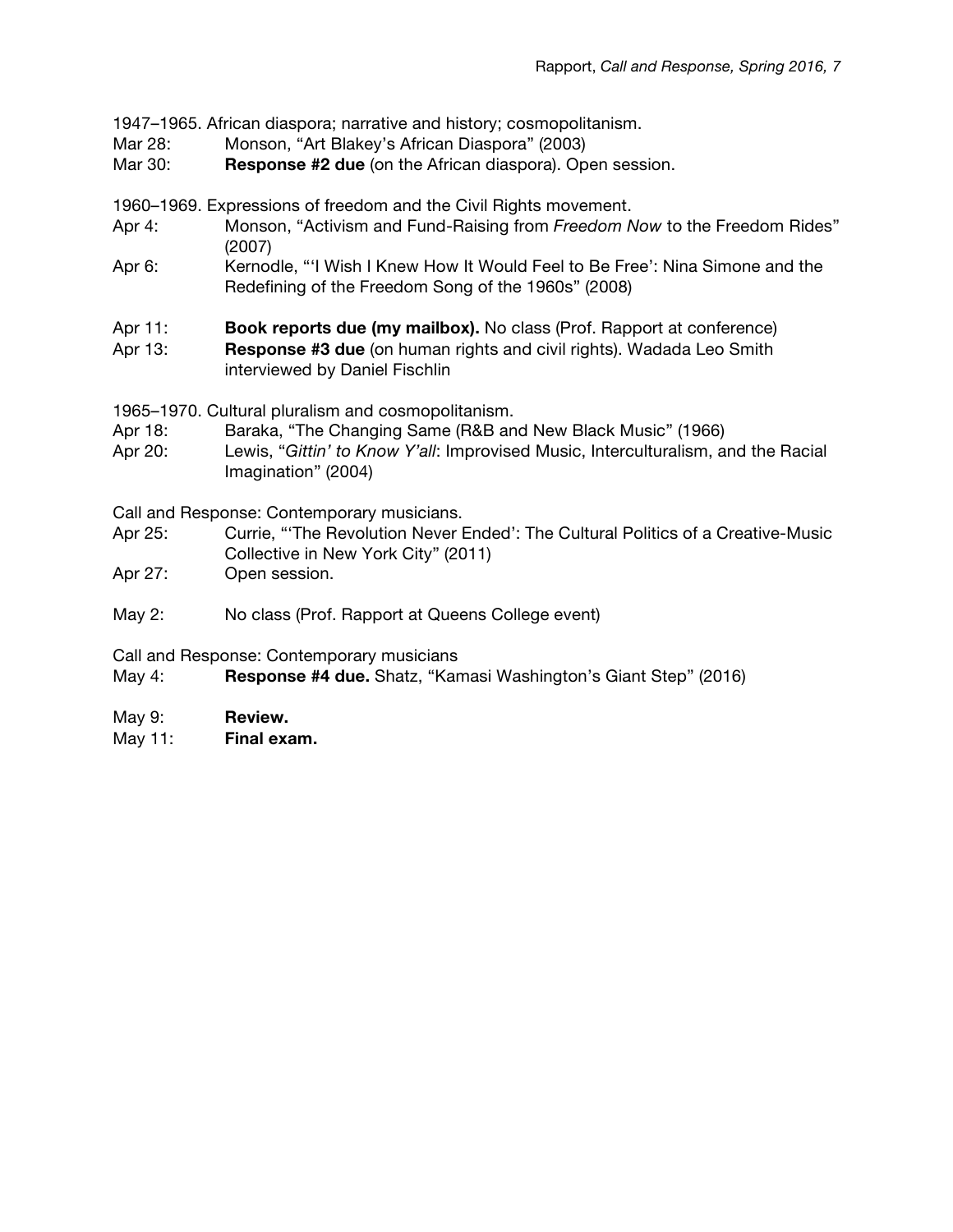1947–1965. African diaspora; narrative and history; cosmopolitanism.

- Mar 28: Monson, "Art Blakey's African Diaspora" (2003)
- Mar 30: **Response #2 due** (on the African diaspora). Open session.

1960–1969. Expressions of freedom and the Civil Rights movement.

- Apr 4: Monson, "Activism and Fund-Raising from *Freedom Now* to the Freedom Rides" (2007)
- Apr 6: Kernodle, "'I Wish I Knew How It Would Feel to Be Free': Nina Simone and the Redefining of the Freedom Song of the 1960s" (2008)
- Apr 11: **Book reports due (my mailbox).** No class (Prof. Rapport at conference)
- Apr 13: **Response #3 due** (on human rights and civil rights). Wadada Leo Smith interviewed by Daniel Fischlin

1965–1970. Cultural pluralism and cosmopolitanism.

- Apr 18: Baraka, "The Changing Same (R&B and New Black Music" (1966)
- Apr 20: Lewis, "*Gittin' to Know Y'all*: Improvised Music, Interculturalism, and the Racial Imagination" (2004)

Call and Response: Contemporary musicians.

- Apr 25: Currie, "'The Revolution Never Ended': The Cultural Politics of a Creative-Music Collective in New York City" (2011)
- Apr 27: Open session.
- May 2: No class (Prof. Rapport at Queens College event)

Call and Response: Contemporary musicians

May 4: **Response #4 due.** Shatz, "Kamasi Washington's Giant Step" (2016)

- May 9: **Review.**
- May 11: **Final exam.**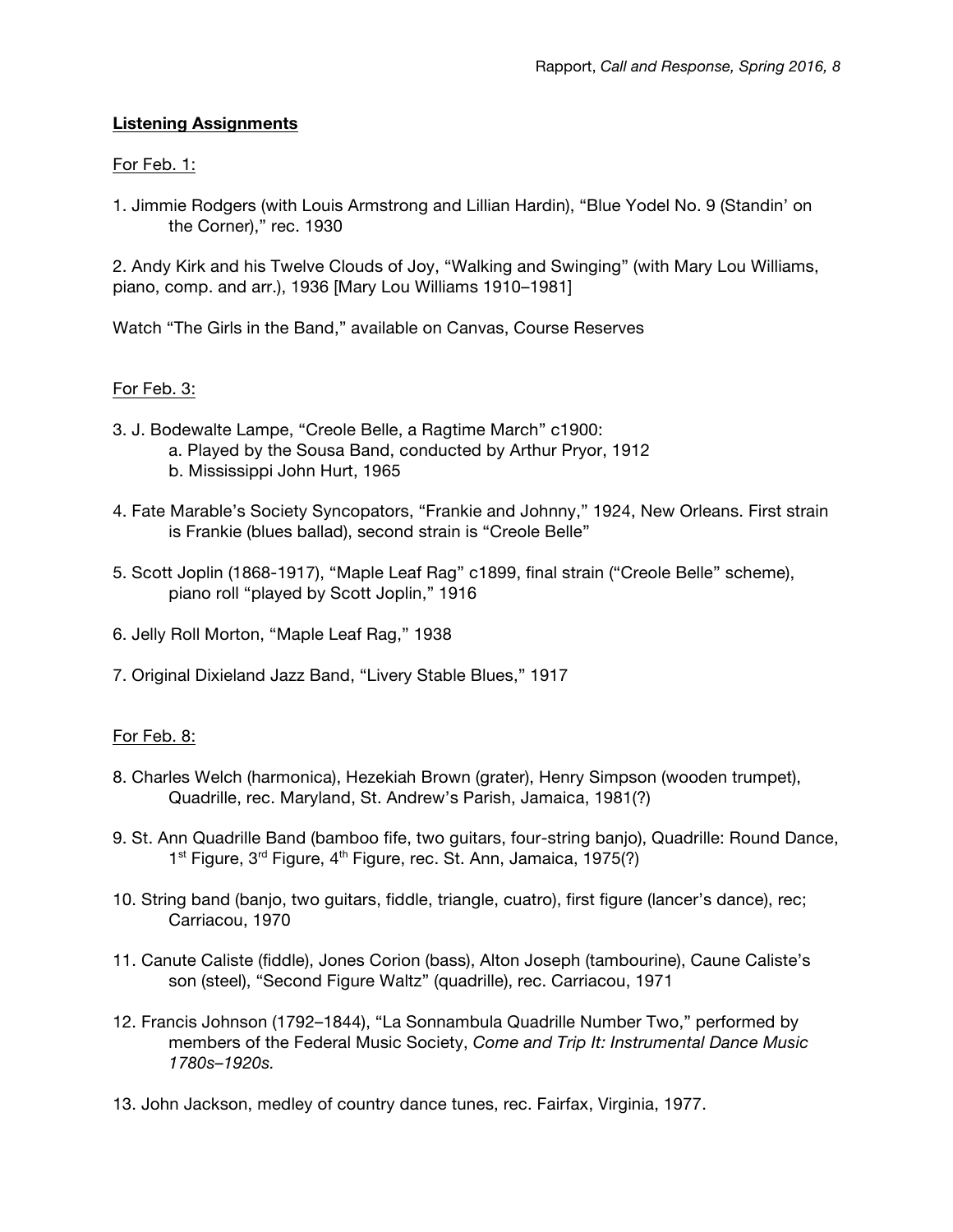# **Listening Assignments**

# For Feb. 1:

1. Jimmie Rodgers (with Louis Armstrong and Lillian Hardin), "Blue Yodel No. 9 (Standin' on the Corner)," rec. 1930

2. Andy Kirk and his Twelve Clouds of Joy, "Walking and Swinging" (with Mary Lou Williams, piano, comp. and arr.), 1936 [Mary Lou Williams 1910–1981]

Watch "The Girls in the Band," available on Canvas, Course Reserves

# For Feb. 3:

- 3. J. Bodewalte Lampe, "Creole Belle, a Ragtime March" c1900:
	- a. Played by the Sousa Band, conducted by Arthur Pryor, 1912
	- b. Mississippi John Hurt, 1965
- 4. Fate Marable's Society Syncopators, "Frankie and Johnny," 1924, New Orleans. First strain is Frankie (blues ballad), second strain is "Creole Belle"
- 5. Scott Joplin (1868-1917), "Maple Leaf Rag" c1899, final strain ("Creole Belle" scheme), piano roll "played by Scott Joplin," 1916
- 6. Jelly Roll Morton, "Maple Leaf Rag," 1938
- 7. Original Dixieland Jazz Band, "Livery Stable Blues," 1917

# For Feb. 8:

- 8. Charles Welch (harmonica), Hezekiah Brown (grater), Henry Simpson (wooden trumpet), Quadrille, rec. Maryland, St. Andrew's Parish, Jamaica, 1981(?)
- 9. St. Ann Quadrille Band (bamboo fife, two guitars, four-string banjo), Quadrille: Round Dance, 1<sup>st</sup> Figure, 3<sup>rd</sup> Figure, 4<sup>th</sup> Figure, rec. St. Ann, Jamaica, 1975(?)
- 10. String band (banjo, two guitars, fiddle, triangle, cuatro), first figure (lancer's dance), rec; Carriacou, 1970
- 11. Canute Caliste (fiddle), Jones Corion (bass), Alton Joseph (tambourine), Caune Caliste's son (steel), "Second Figure Waltz" (quadrille), rec. Carriacou, 1971
- 12. Francis Johnson (1792–1844), "La Sonnambula Quadrille Number Two," performed by members of the Federal Music Society, *Come and Trip It: Instrumental Dance Music 1780s–1920s.*
- 13. John Jackson, medley of country dance tunes, rec. Fairfax, Virginia, 1977.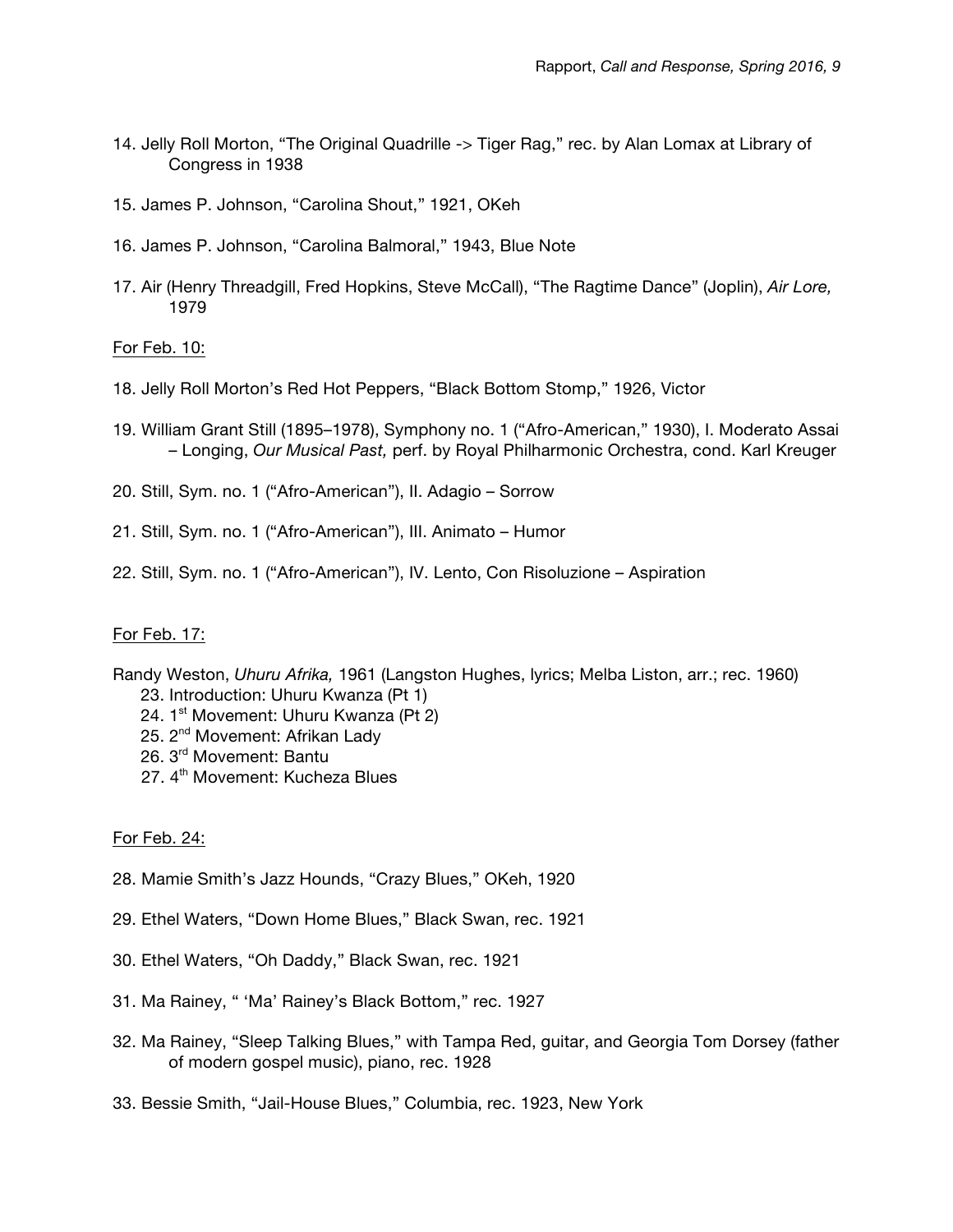- 14. Jelly Roll Morton, "The Original Quadrille -> Tiger Rag," rec. by Alan Lomax at Library of Congress in 1938
- 15. James P. Johnson, "Carolina Shout," 1921, OKeh
- 16. James P. Johnson, "Carolina Balmoral," 1943, Blue Note
- 17. Air (Henry Threadgill, Fred Hopkins, Steve McCall), "The Ragtime Dance" (Joplin), *Air Lore,*  1979

#### For Feb. 10:

- 18. Jelly Roll Morton's Red Hot Peppers, "Black Bottom Stomp," 1926, Victor
- 19. William Grant Still (1895–1978), Symphony no. 1 ("Afro-American," 1930), I. Moderato Assai – Longing, *Our Musical Past,* perf. by Royal Philharmonic Orchestra, cond. Karl Kreuger
- 20. Still, Sym. no. 1 ("Afro-American"), II. Adagio Sorrow
- 21. Still, Sym. no. 1 ("Afro-American"), III. Animato Humor
- 22. Still, Sym. no. 1 ("Afro-American"), IV. Lento, Con Risoluzione Aspiration

#### For Feb. 17:

- Randy Weston, *Uhuru Afrika,* 1961 (Langston Hughes, lyrics; Melba Liston, arr.; rec. 1960)
	- 23. Introduction: Uhuru Kwanza (Pt 1)
	- 24. 1<sup>st</sup> Movement: Uhuru Kwanza (Pt 2)
	- 25. 2<sup>nd</sup> Movement: Afrikan Lady
	- 26. 3rd Movement: Bantu
	- 27. 4<sup>th</sup> Movement: Kucheza Blues

#### For Feb. 24:

- 28. Mamie Smith's Jazz Hounds, "Crazy Blues," OKeh, 1920
- 29. Ethel Waters, "Down Home Blues," Black Swan, rec. 1921
- 30. Ethel Waters, "Oh Daddy," Black Swan, rec. 1921
- 31. Ma Rainey, " 'Ma' Rainey's Black Bottom," rec. 1927
- 32. Ma Rainey, "Sleep Talking Blues," with Tampa Red, guitar, and Georgia Tom Dorsey (father of modern gospel music), piano, rec. 1928
- 33. Bessie Smith, "Jail-House Blues," Columbia, rec. 1923, New York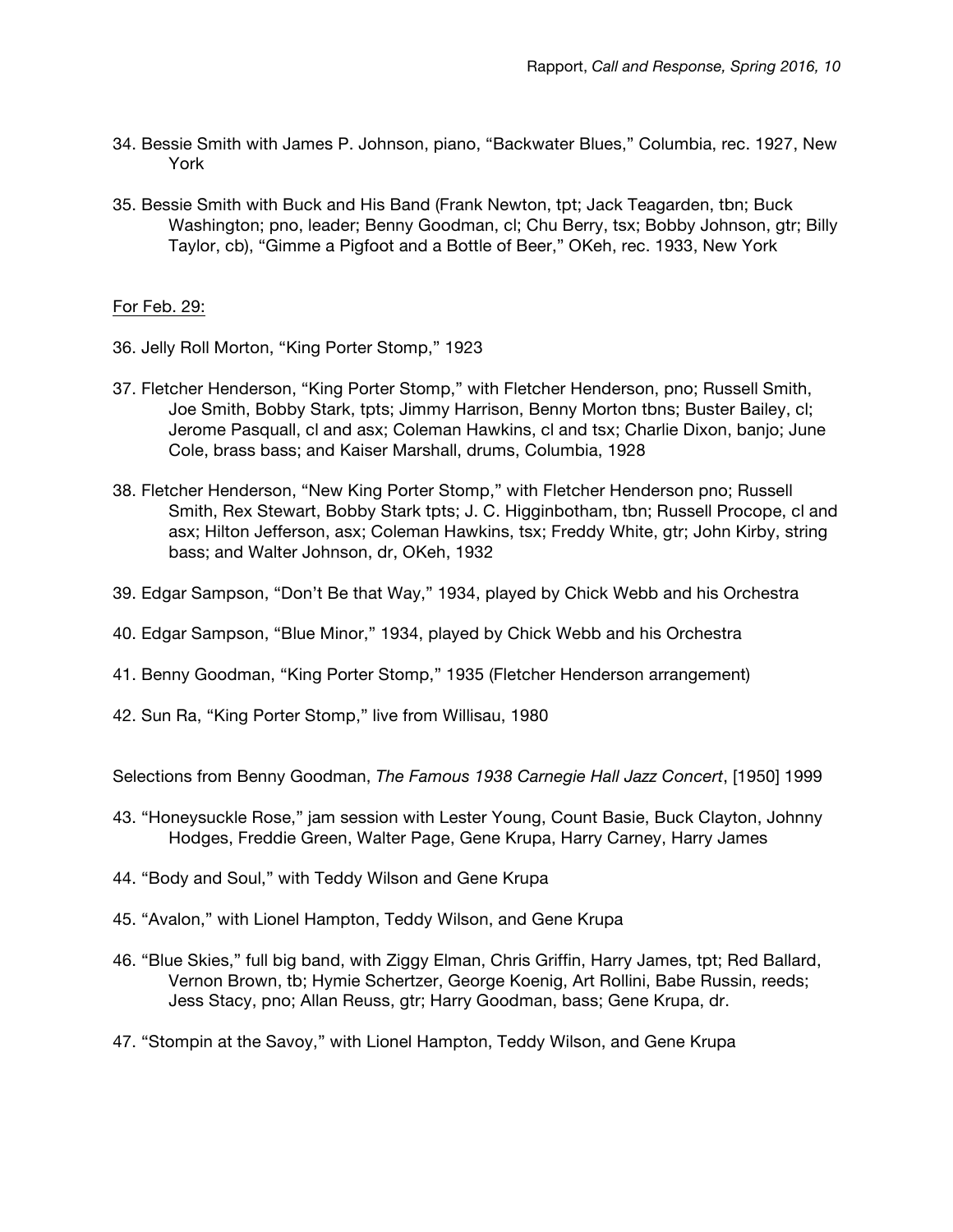- 34. Bessie Smith with James P. Johnson, piano, "Backwater Blues," Columbia, rec. 1927, New York
- 35. Bessie Smith with Buck and His Band (Frank Newton, tpt; Jack Teagarden, tbn; Buck Washington; pno, leader; Benny Goodman, cl; Chu Berry, tsx; Bobby Johnson, gtr; Billy Taylor, cb), "Gimme a Pigfoot and a Bottle of Beer," OKeh, rec. 1933, New York

#### For Feb. 29:

- 36. Jelly Roll Morton, "King Porter Stomp," 1923
- 37. Fletcher Henderson, "King Porter Stomp," with Fletcher Henderson, pno; Russell Smith, Joe Smith, Bobby Stark, tpts; Jimmy Harrison, Benny Morton tbns; Buster Bailey, cl; Jerome Pasquall, cl and asx; Coleman Hawkins, cl and tsx; Charlie Dixon, banjo; June Cole, brass bass; and Kaiser Marshall, drums, Columbia, 1928
- 38. Fletcher Henderson, "New King Porter Stomp," with Fletcher Henderson pno; Russell Smith, Rex Stewart, Bobby Stark tpts; J. C. Higginbotham, tbn; Russell Procope, cl and asx; Hilton Jefferson, asx; Coleman Hawkins, tsx; Freddy White, gtr; John Kirby, string bass; and Walter Johnson, dr, OKeh, 1932
- 39. Edgar Sampson, "Don't Be that Way," 1934, played by Chick Webb and his Orchestra
- 40. Edgar Sampson, "Blue Minor," 1934, played by Chick Webb and his Orchestra
- 41. Benny Goodman, "King Porter Stomp," 1935 (Fletcher Henderson arrangement)
- 42. Sun Ra, "King Porter Stomp," live from Willisau, 1980

Selections from Benny Goodman, *The Famous 1938 Carnegie Hall Jazz Concert*, [1950] 1999

- 43. "Honeysuckle Rose," jam session with Lester Young, Count Basie, Buck Clayton, Johnny Hodges, Freddie Green, Walter Page, Gene Krupa, Harry Carney, Harry James
- 44. "Body and Soul," with Teddy Wilson and Gene Krupa
- 45. "Avalon," with Lionel Hampton, Teddy Wilson, and Gene Krupa
- 46. "Blue Skies," full big band, with Ziggy Elman, Chris Griffin, Harry James, tpt; Red Ballard, Vernon Brown, tb; Hymie Schertzer, George Koenig, Art Rollini, Babe Russin, reeds; Jess Stacy, pno; Allan Reuss, gtr; Harry Goodman, bass; Gene Krupa, dr.
- 47. "Stompin at the Savoy," with Lionel Hampton, Teddy Wilson, and Gene Krupa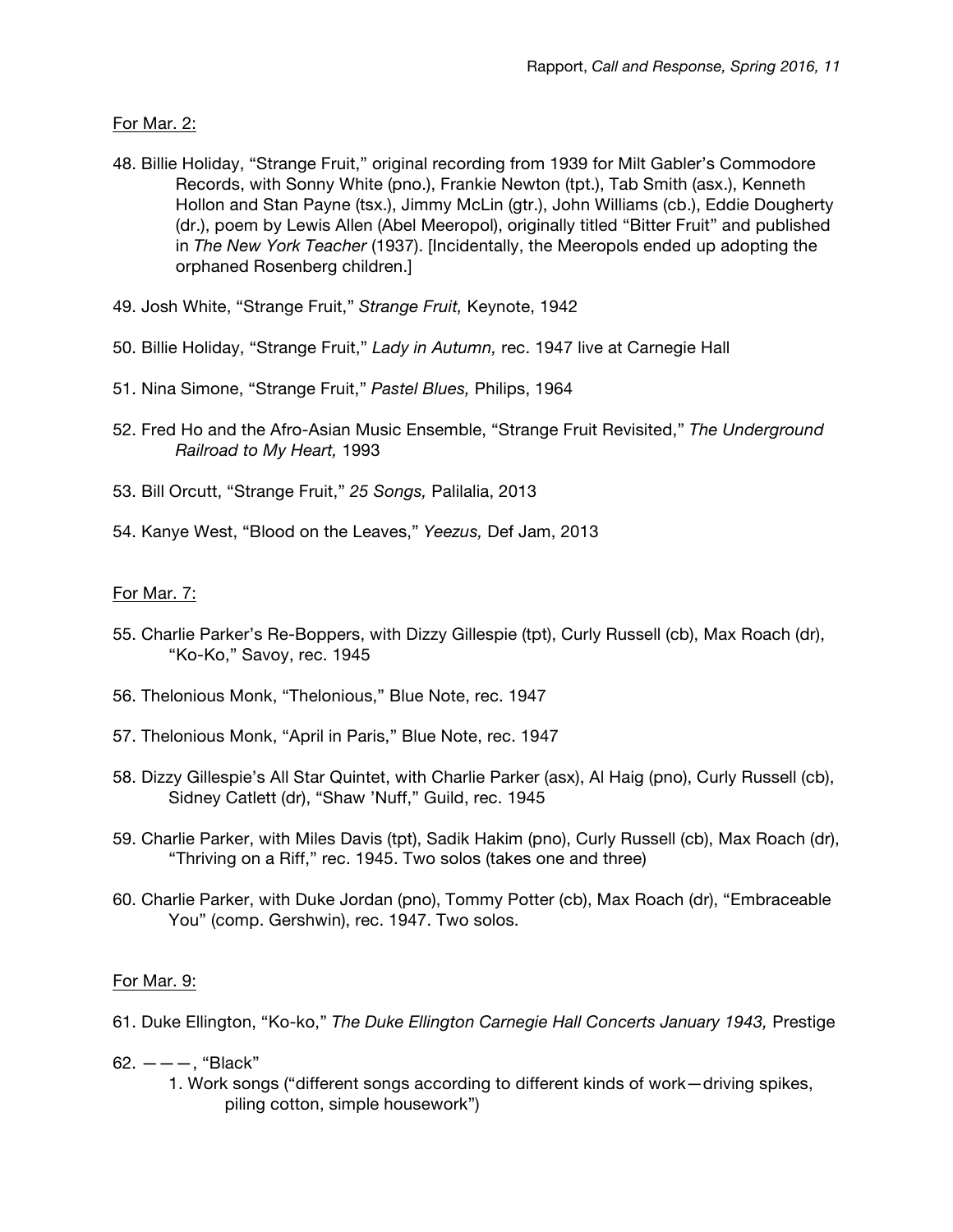For Mar. 2:

- 48. Billie Holiday, "Strange Fruit," original recording from 1939 for Milt Gabler's Commodore Records, with Sonny White (pno.), Frankie Newton (tpt.), Tab Smith (asx.), Kenneth Hollon and Stan Payne (tsx.), Jimmy McLin (gtr.), John Williams (cb.), Eddie Dougherty (dr.), poem by Lewis Allen (Abel Meeropol), originally titled "Bitter Fruit" and published in *The New York Teacher* (1937). [Incidentally, the Meeropols ended up adopting the orphaned Rosenberg children.]
- 49. Josh White, "Strange Fruit," *Strange Fruit,* Keynote, 1942
- 50. Billie Holiday, "Strange Fruit," *Lady in Autumn,* rec. 1947 live at Carnegie Hall
- 51. Nina Simone, "Strange Fruit," *Pastel Blues,* Philips, 1964
- 52. Fred Ho and the Afro-Asian Music Ensemble, "Strange Fruit Revisited," *The Underground Railroad to My Heart,* 1993
- 53. Bill Orcutt, "Strange Fruit," *25 Songs,* Palilalia, 2013
- 54. Kanye West, "Blood on the Leaves," *Yeezus,* Def Jam, 2013

# For Mar. 7:

- 55. Charlie Parker's Re-Boppers, with Dizzy Gillespie (tpt), Curly Russell (cb), Max Roach (dr), "Ko-Ko," Savoy, rec. 1945
- 56. Thelonious Monk, "Thelonious," Blue Note, rec. 1947
- 57. Thelonious Monk, "April in Paris," Blue Note, rec. 1947
- 58. Dizzy Gillespie's All Star Quintet, with Charlie Parker (asx), Al Haig (pno), Curly Russell (cb), Sidney Catlett (dr), "Shaw 'Nuff," Guild, rec. 1945
- 59. Charlie Parker, with Miles Davis (tpt), Sadik Hakim (pno), Curly Russell (cb), Max Roach (dr), "Thriving on a Riff," rec. 1945. Two solos (takes one and three)
- 60. Charlie Parker, with Duke Jordan (pno), Tommy Potter (cb), Max Roach (dr), "Embraceable You" (comp. Gershwin), rec. 1947. Two solos.

# For Mar. 9:

- 61. Duke Ellington, "Ko-ko," *The Duke Ellington Carnegie Hall Concerts January 1943,* Prestige
- $62. - -$ , "Black"
	- 1. Work songs ("different songs according to different kinds of work—driving spikes, piling cotton, simple housework")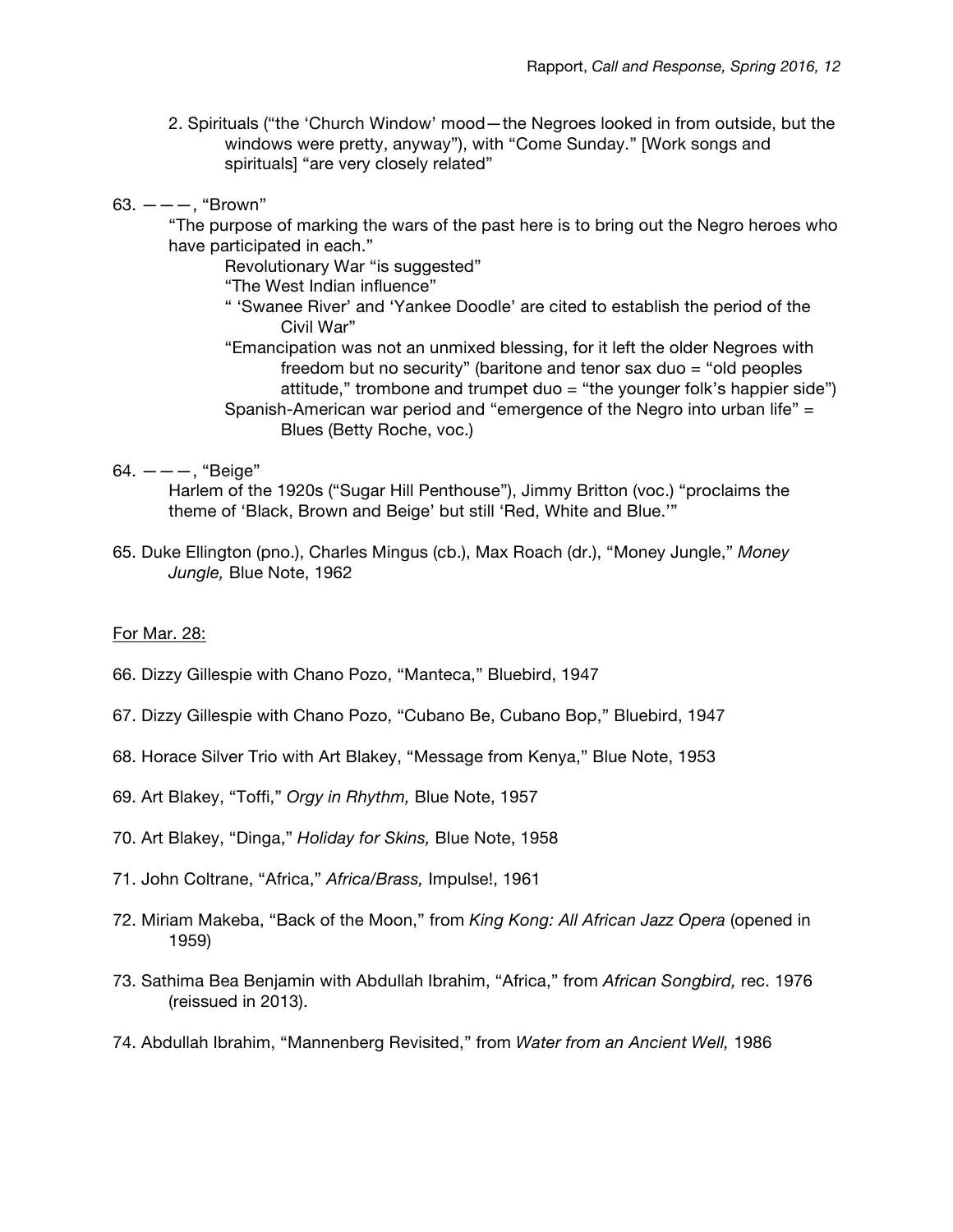- 2. Spirituals ("the 'Church Window' mood—the Negroes looked in from outside, but the windows were pretty, anyway"), with "Come Sunday." [Work songs and spirituals] "are very closely related"
- $63. ---$ , "Brown"
	- "The purpose of marking the wars of the past here is to bring out the Negro heroes who have participated in each."

Revolutionary War "is suggested"

"The West Indian influence"

- " 'Swanee River' and 'Yankee Doodle' are cited to establish the period of the Civil War"
- "Emancipation was not an unmixed blessing, for it left the older Negroes with freedom but no security" (baritone and tenor sax duo = "old peoples attitude," trombone and trumpet duo  $=$  "the younger folk's happier side") Spanish-American war period and "emergence of the Negro into urban life" = Blues (Betty Roche, voc.)
- $64. - -$ , "Beige"

Harlem of the 1920s ("Sugar Hill Penthouse"), Jimmy Britton (voc.) "proclaims the theme of 'Black, Brown and Beige' but still 'Red, White and Blue.'"

65. Duke Ellington (pno.), Charles Mingus (cb.), Max Roach (dr.), "Money Jungle," *Money Jungle,* Blue Note, 1962

# For Mar. 28:

- 66. Dizzy Gillespie with Chano Pozo, "Manteca," Bluebird, 1947
- 67. Dizzy Gillespie with Chano Pozo, "Cubano Be, Cubano Bop," Bluebird, 1947
- 68. Horace Silver Trio with Art Blakey, "Message from Kenya," Blue Note, 1953
- 69. Art Blakey, "Toffi," *Orgy in Rhythm,* Blue Note, 1957
- 70. Art Blakey, "Dinga," *Holiday for Skins,* Blue Note, 1958
- 71. John Coltrane, "Africa," *Africa/Brass,* Impulse!, 1961
- 72. Miriam Makeba, "Back of the Moon," from *King Kong: All African Jazz Opera* (opened in 1959)
- 73. Sathima Bea Benjamin with Abdullah Ibrahim, "Africa," from *African Songbird,* rec. 1976 (reissued in 2013).
- 74. Abdullah Ibrahim, "Mannenberg Revisited," from *Water from an Ancient Well,* 1986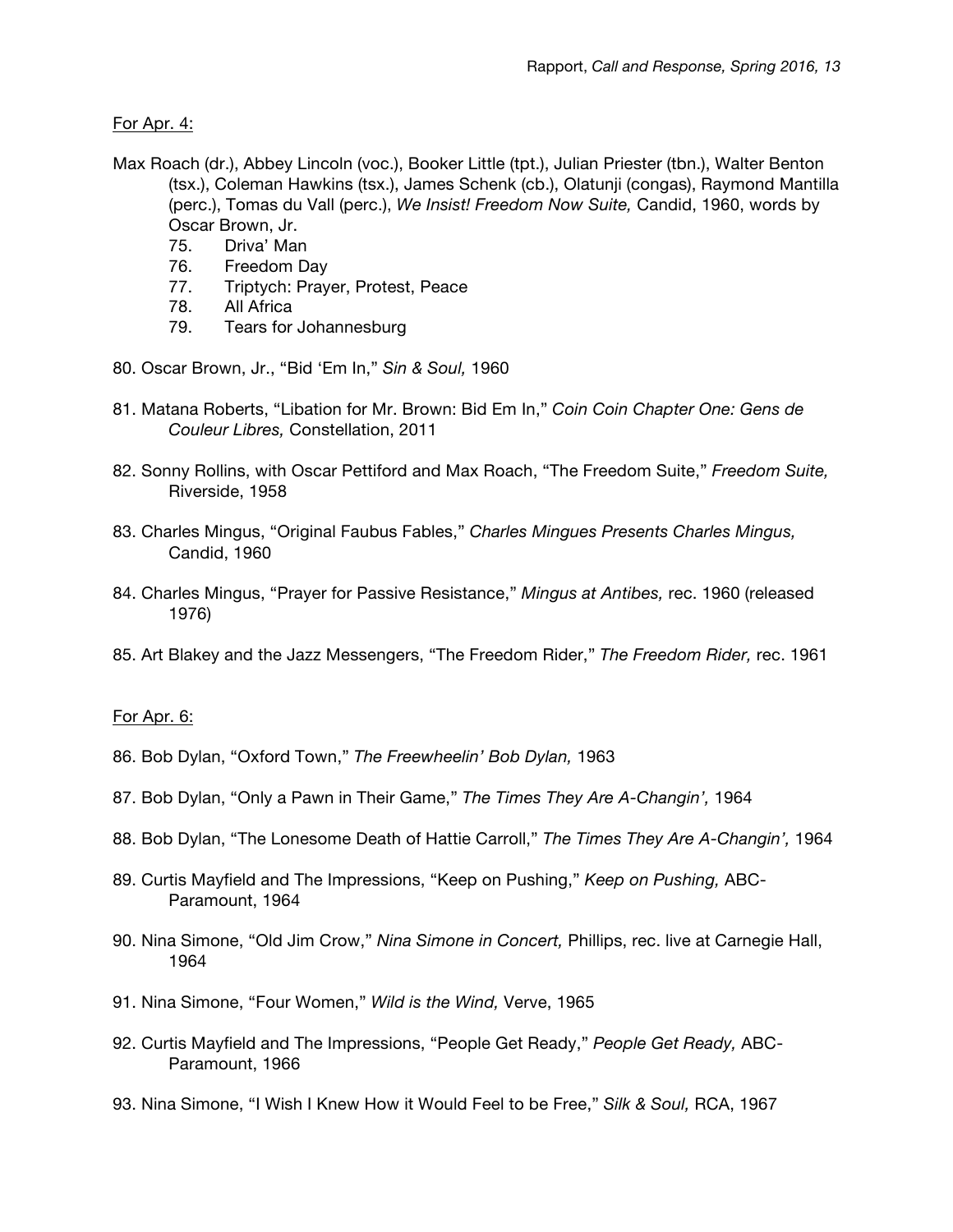For Apr. 4:

- Max Roach (dr.), Abbey Lincoln (voc.), Booker Little (tpt.), Julian Priester (tbn.), Walter Benton (tsx.), Coleman Hawkins (tsx.), James Schenk (cb.), Olatunji (congas), Raymond Mantilla (perc.), Tomas du Vall (perc.), *We Insist! Freedom Now Suite,* Candid, 1960, words by Oscar Brown, Jr.
	- 75. Driva' Man
	- 76. Freedom Day
	- 77. Triptych: Prayer, Protest, Peace
	- 78. All Africa
	- 79. Tears for Johannesburg
- 80. Oscar Brown, Jr., "Bid 'Em In," *Sin & Soul,* 1960
- 81. Matana Roberts, "Libation for Mr. Brown: Bid Em In," *Coin Coin Chapter One: Gens de Couleur Libres,* Constellation, 2011
- 82. Sonny Rollins, with Oscar Pettiford and Max Roach, "The Freedom Suite," *Freedom Suite,*  Riverside, 1958
- 83. Charles Mingus, "Original Faubus Fables," *Charles Mingues Presents Charles Mingus,*  Candid, 1960
- 84. Charles Mingus, "Prayer for Passive Resistance," *Mingus at Antibes,* rec. 1960 (released 1976)
- 85. Art Blakey and the Jazz Messengers, "The Freedom Rider," *The Freedom Rider,* rec. 1961

# For Apr. 6:

- 86. Bob Dylan, "Oxford Town," *The Freewheelin' Bob Dylan,* 1963
- 87. Bob Dylan, "Only a Pawn in Their Game," *The Times They Are A-Changin',* 1964
- 88. Bob Dylan, "The Lonesome Death of Hattie Carroll," *The Times They Are A-Changin',* 1964
- 89. Curtis Mayfield and The Impressions, "Keep on Pushing," *Keep on Pushing,* ABC-Paramount, 1964
- 90. Nina Simone, "Old Jim Crow," *Nina Simone in Concert,* Phillips, rec. live at Carnegie Hall, 1964
- 91. Nina Simone, "Four Women," *Wild is the Wind,* Verve, 1965
- 92. Curtis Mayfield and The Impressions, "People Get Ready," *People Get Ready,* ABC-Paramount, 1966
- 93. Nina Simone, "I Wish I Knew How it Would Feel to be Free," *Silk & Soul,* RCA, 1967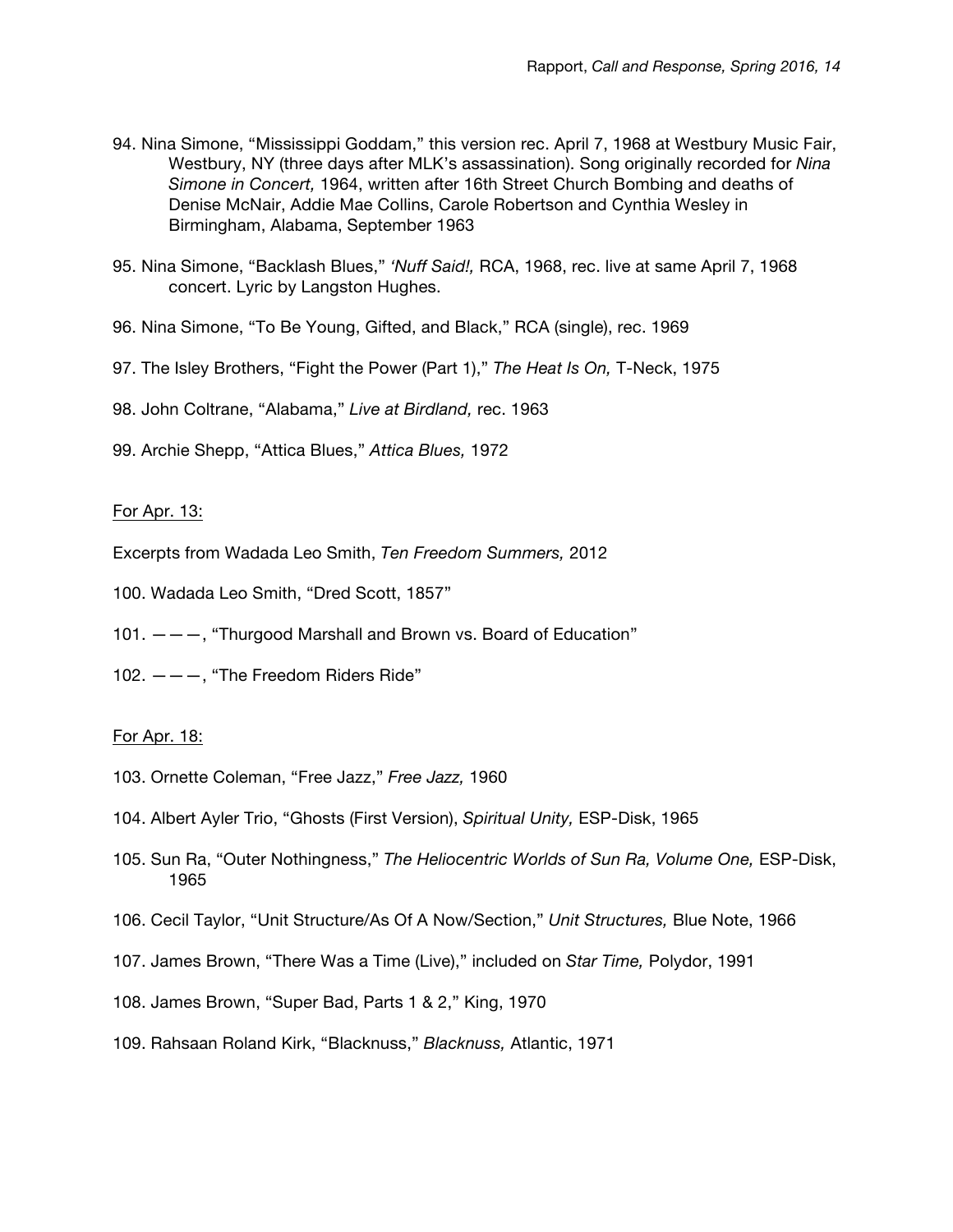- 94. Nina Simone, "Mississippi Goddam," this version rec. April 7, 1968 at Westbury Music Fair, Westbury, NY (three days after MLK's assassination). Song originally recorded for *Nina Simone in Concert,* 1964, written after 16th Street Church Bombing and deaths of Denise McNair, Addie Mae Collins, Carole Robertson and Cynthia Wesley in Birmingham, Alabama, September 1963
- 95. Nina Simone, "Backlash Blues," *'Nuff Said!,* RCA, 1968, rec. live at same April 7, 1968 concert. Lyric by Langston Hughes.
- 96. Nina Simone, "To Be Young, Gifted, and Black," RCA (single), rec. 1969
- 97. The Isley Brothers, "Fight the Power (Part 1)," *The Heat Is On,* T-Neck, 1975
- 98. John Coltrane, "Alabama," *Live at Birdland,* rec. 1963
- 99. Archie Shepp, "Attica Blues," *Attica Blues,* 1972

# For Apr. 13:

- Excerpts from Wadada Leo Smith, *Ten Freedom Summers,* 2012
- 100. Wadada Leo Smith, "Dred Scott, 1857"
- 101.  $---$ , "Thurgood Marshall and Brown vs. Board of Education"
- 102.  $---$ , "The Freedom Riders Ride"

# For Apr. 18:

- 103. Ornette Coleman, "Free Jazz," *Free Jazz,* 1960
- 104. Albert Ayler Trio, "Ghosts (First Version), *Spiritual Unity,* ESP-Disk, 1965
- 105. Sun Ra, "Outer Nothingness," *The Heliocentric Worlds of Sun Ra, Volume One,* ESP-Disk, 1965
- 106. Cecil Taylor, "Unit Structure/As Of A Now/Section," *Unit Structures,* Blue Note, 1966
- 107. James Brown, "There Was a Time (Live)," included on *Star Time,* Polydor, 1991
- 108. James Brown, "Super Bad, Parts 1 & 2," King, 1970
- 109. Rahsaan Roland Kirk, "Blacknuss," *Blacknuss,* Atlantic, 1971